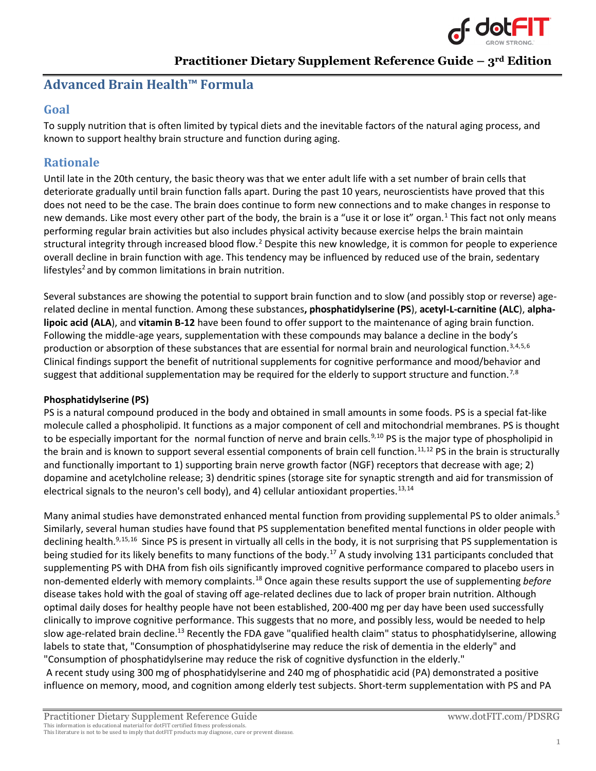<span id="page-0-6"></span><span id="page-0-5"></span><span id="page-0-4"></span><span id="page-0-1"></span>

# **Advanced Brain Health™ Formula**

## **Goal**

To supply nutrition that is often limited by typical diets and the inevitable factors of the natural aging process, and known to support healthy brain structure and function during aging.

# **Rationale**

Until late in the 20th century, the basic theory was that we enter adult life with a set number of brain cells that deteriorate gradually until brain function falls apart. During the past 10 years, neuroscientists have proved that this does not need to be the case. The brain does continue to form new connections and to make changes in response to new demands. Like most every other part of the body, the brain is a "use it or lose it" organ.<sup>[1](#page-5-0)</sup> This fact not only means performing regular brain activities but also includes physical activity because exercise helps the brain maintain structural integrity through increased blood flow.<sup>[2](#page-5-1)</sup> Despite this new knowledge, it is common for people to experience overall decline in brain function with age. This tendency may be influenced by reduced use of the brain, sedentary lifestyles<sup>2</sup> and by common limitations in brain nutrition.

<span id="page-0-0"></span>Several substances are showing the potential to support brain function and to slow (and possibly stop or reverse) agerelated decline in mental function. Among these substances**, phosphatidylserine (PS**), **acetyl-L-carnitine (ALC**), **alphalipoic acid (ALA**), and **vitamin B-12** have been found to offer support to the maintenance of aging brain function. Following the middle-age years, supplementation with these compounds may balance a decline in the body's production or absorption of these substances that are essential for normal brain and neurological function.<sup>[3](#page-5-2),[4](#page-5-3),[5,](#page-5-4)[6](#page-5-5)</sup> Clinical findings support the benefit of nutritional supplements for cognitive performance and mood/behavior and suggest that additional supplementation may be required for the elderly to support structure and function.<sup>[7](#page-5-6),[8](#page-5-7)</sup>

### **Phosphatidylserine (PS)**

<span id="page-0-2"></span>PS is a natural compound produced in the body and obtained in small amounts in some foods. PS is a special fat-like molecule called a phospholipid. It functions as a major component of cell and mitochondrial membranes. PS is thought to be especially important for the normal function of nerve and brain cells.<sup>[9,](#page-5-8)[10](#page-5-9)</sup> PS is the major type of phospholipid in the brain and is known to support several essential components of brain cell function.<sup>[11,](#page-5-10)[12](#page-5-11)</sup> PS in the brain is structurally and functionally important to 1) supporting brain nerve growth factor (NGF) receptors that decrease with age; 2) dopamine and acetylcholine release; 3) dendritic spines (storage site for synaptic strength and aid for transmission of electrical signals to the neuron's cell body), and 4) cellular antioxidant properties.<sup>[13,](#page-5-12)[14](#page-5-13)</sup>

<span id="page-0-3"></span>Many animal studies have demonstrated enhanced mental function from providing supplemental PS to older animals.<sup>5</sup> Similarly, several human studies have found that PS supplementation benefited mental functions in older people with declining health.<sup>[9,](#page-0-2)[15,](#page-5-14)[16](#page-5-15)</sup> Since PS is present in virtually all cells in the body, it is not surprising that PS supplementation is being studied for its likely benefits to many functions of the body.<sup>[17](#page-5-16)</sup> A study involving 131 participants concluded that supplementing PS with DHA from fish oils significantly improved cognitive performance compared to placebo users in non-demented elderly with memory complaints[.18](#page-5-17) Once again these results support the use of supplementing *before* disease takes hold with the goal of staving off age-related declines due to lack of proper brain nutrition. Although optimal daily doses for healthy people have not been established, 200-400 mg per day have been used successfully clinically to improve cognitive performance. This suggests that no more, and possibly less, would be needed to help slow age-related brain decline.<sup>13</sup> Recently the FDA gave "qualified health claim" status to phosphatidylserine, allowing labels to state that, "Consumption of phosphatidylserine may reduce the risk of dementia in the elderly" and "Consumption of phosphatidylserine may reduce the risk of cognitive dysfunction in the elderly." A recent study using 300 mg of phosphatidylserine and 240 mg of phosphatidic acid (PA) demonstrated a positive

influence on memory, mood, and cognition among elderly test subjects. Short-term supplementation with PS and PA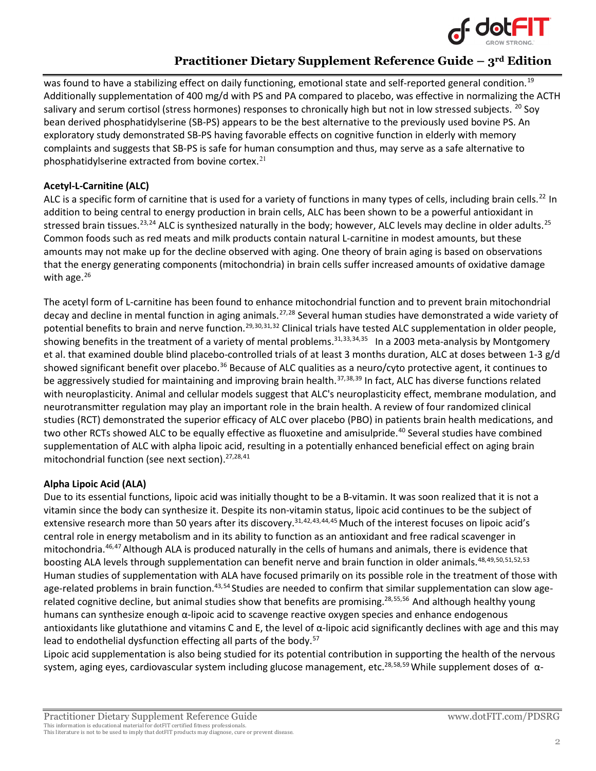

was found to have a stabilizing effect on daily functioning, emotional state and self-reported general condition.<sup>[19](#page-5-18)</sup> Additionally supplementation of 400 mg/d with PS and PA compared to placebo, was effective in normalizing the ACTH salivary and serum cortisol (stress hormones) responses to chronically high but not in low stressed subjects. <sup>[20](#page-5-19)</sup> Soy bean derived phosphatidylserine (SB-PS) appears to be the best alternative to the previously used bovine PS. An exploratory study demonstrated SB-PS having favorable effects on cognitive function in elderly with memory complaints and suggests that SB-PS is safe for human consumption and thus, may serve as a safe alternative to phosphatidylserine extracted from bovine cortex. $21$ 

#### **Acetyl-L-Carnitine (ALC)**

ALC is a specific form of carnitine that is used for a variety of functions in many types of cells, including brain cells.<sup>22</sup> In addition to being central to energy production in brain cells, ALC has been shown to be a powerful antioxidant in stressed brain tissues.<sup>[23,](#page-5-22)[24](#page-6-0)</sup> ALC is synthesized naturally in the body; however, ALC levels may decline in older adults.<sup>[25](#page-6-1)</sup> Common foods such as red meats and milk products contain natural L-carnitine in modest amounts, but these amounts may not make up for the decline observed with aging. One theory of brain aging is based on observations that the energy generating components (mitochondria) in brain cells suffer increased amounts of oxidative damage with age. $26$ 

<span id="page-1-2"></span><span id="page-1-1"></span><span id="page-1-0"></span>The acetyl form of L-carnitine has been found to enhance mitochondrial function and to prevent brain mitochondrial decay and decline in mental function in aging animals.<sup>[27](#page-6-3),[28](#page-6-4)</sup> Several human studies have demonstrated a wide variety of potential benefits to brain and nerve function.<sup>29,[30,](#page-6-6)[31,](#page-6-7)[32](#page-6-8)</sup> Clinical trials have tested ALC supplementation in older people, showing benefits in the treatment of a variety of mental problems.<sup>31,[33,](#page-6-9)[34,](#page-6-10)[35](#page-6-11)</sup> In a 2003 meta-analysis by Montgomery et al. that examined double blind placebo-controlled trials of at least 3 months duration, ALC at doses between 1-3 g/d showed significant benefit over placebo.<sup>[36](#page-6-12)</sup> Because of ALC qualities as a neuro/cyto protective agent, it continues to be aggressively studied for maintaining and improving brain health.<sup>[37,](#page-6-13)[38,](#page-6-14)[39](#page-6-15)</sup> In fact, ALC has diverse functions related with neuroplasticity. Animal and cellular models suggest that ALC's neuroplasticity effect, membrane modulation, and neurotransmitter regulation may play an important role in the brain health. A review of four randomized clinical studies (RCT) demonstrated the superior efficacy of ALC over placebo (PBO) in patients brain health medications, and two other RCTs showed ALC to be equally effective as fluoxetine and amisulpride.<sup>[40](#page-6-16)</sup> Several studies have combined supplementation of ALC with alpha lipoic acid, resulting in a potentially enhanced beneficial effect on aging brain mitochondrial function (see next section).<sup>27,[28,](#page-1-2)[41](#page-6-17)</sup>

### **Alpha Lipoic Acid (ALA)**

<span id="page-1-3"></span>Due to its essential functions, lipoic acid was initially thought to be a B-vitamin. It was soon realized that it is not a vitamin since the body can synthesize it. Despite its non-vitamin status, lipoic acid continues to be the subject of extensive research more than 50 years after its discovery.<sup>31,[42,](#page-6-18)[43](#page-6-19),[44](#page-6-20),[45](#page-6-21)</sup> Much of the interest focuses on lipoic acid's central role in energy metabolism and in its ability to function as an antioxidant and free radical scavenger in mitochondria[.46](#page-6-22),[47](#page-7-0)Although ALA is produced naturally in the cells of humans and animals, there is evidence that boosting ALA levels through supplementation can benefit nerve and brain function in older animals.<sup>[48](#page-7-1),[49](#page-7-2),[50,](#page-7-3)[51,](#page-7-4)[52](#page-7-5),[53](#page-7-6)</sup> Human studies of supplementation with ALA have focused primarily on its possible role in the treatment of those with age-related problems in brain function.<sup>43,[54](#page-7-7)</sup> Studies are needed to confirm that similar supplementation can slow age-related cognitive decline, but animal studies show that benefits are promising.<sup>28,[55](#page-7-8),56</sup> And although healthy young humans can synthesize enough α-lipoic acid to scavenge reactive oxygen species and enhance endogenous antioxidants like glutathione and vitamins C and E, the level of  $\alpha$ -lipoic acid significantly declines with age and this may lead to endothelial dysfunction effecting all parts of the body.<sup>[57](#page-7-10)</sup>

<span id="page-1-4"></span>Lipoic acid supplementation is also being studied for its potential contribution in supporting the health of the nervous system, aging eyes, cardiovascular system including glucose management, etc.<sup>28,[58](#page-7-11),[59](#page-7-12)</sup> While supplement doses of α-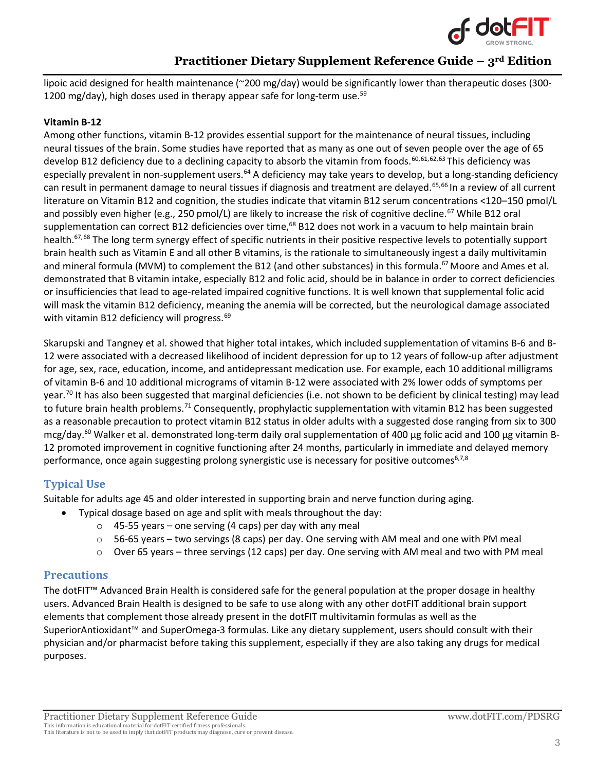<span id="page-2-2"></span><span id="page-2-1"></span>

lipoic acid designed for health maintenance (~200 mg/day) would be significantly lower than therapeutic doses (300-1200 mg/day), high doses used in therapy appear safe for long-term use.<sup>59</sup>

#### **Vitamin B-12**

<span id="page-2-0"></span>Among other functions, vitamin B-12 provides essential support for the maintenance of neural tissues, including neural tissues of the brain. Some studies have reported that as many as one out of seven people over the age of 65 develop B12 deficiency due to a declining capacity to absorb the vitamin from foods.<sup>[60](#page-7-13),[61](#page-7-14),[62,](#page-7-15)[63](#page-7-16)</sup> This deficiency was especially prevalent in non-supplement users.<sup>[64](#page-7-17)</sup> A deficiency may take years to develop, but a long-standing deficiency can result in permanent damage to neural tissues if diagnosis and treatment are delayed.<sup>[65](#page-7-18),[66](#page-7-19)</sup> In a review of all current literature on Vitamin B12 and cognition, the studies indicate that vitamin B12 serum concentrations <120–150 pmol/L and possibly even higher (e.g., 250 pmol/L) are likely to increase the risk of cognitive decline.<sup>[67](#page-7-20)</sup> While B12 oral supplementation can correct B12 deficiencies over time,<sup>68</sup> B12 does not work in a vacuum to help maintain brain health.<sup>67,[68](#page-7-21)</sup> The long term synergy effect of specific nutrients in their positive respective levels to potentially support brain health such as Vitamin E and all other B vitamins, is the rationale to simultaneously ingest a daily multivitamin and mineral formula (MVM) to complement the B12 (and other substances) in this formula.<sup>67</sup> Moore and Ames et al. demonstrated that B vitamin intake, especially B12 and folic acid, should be in balance in order to correct deficiencies or insufficiencies that lead to age-related impaired cognitive functions. It is well known that supplemental folic acid will mask the vitamin B12 deficiency, meaning the anemia will be corrected, but the neurological damage associated with vitamin B12 deficiency will progress.<sup>[69](#page-7-22)</sup>

Skarupski and Tangney et al. showed that higher total intakes, which included supplementation of vitamins B-6 and B-12 were associated with a decreased likelihood of incident depression for up to 12 years of follow-up after adjustment for age, sex, race, education, income, and antidepressant medication use. For example, each 10 additional milligrams of vitamin B-6 and 10 additional micrograms of vitamin B-12 were associated with 2% lower odds of symptoms per year.<sup>[70](#page-7-23)</sup> It has also been suggested that marginal deficiencies (i.e. not shown to be deficient by clinical testing) may lead to future brain health problems.<sup>[71](#page-8-0)</sup> Consequently, prophylactic supplementation with vitamin B12 has been suggested as a reasonable precaution to protect vitamin B12 status in older adults with a suggested dose ranging from six to 300 mcg/day.<sup>60</sup> Walker et al. demonstrated long-term daily oral supplementation of 400 μg folic acid and 100 μg vitamin B-12 promoted improvement in cognitive functioning after 24 months, particularly in immediate and delayed memory performance, once again suggesting prolong synergistic use is necessary for positive outcomes<sup>6,[7,](#page-0-5)[8](#page-0-6)</sup>

### **Typical Use**

Suitable for adults age 45 and older interested in supporting brain and nerve function during aging.

- Typical dosage based on age and split with meals throughout the day:
	- $\circ$  45-55 years one serving (4 caps) per day with any meal
	- $\circ$  56-65 years two servings (8 caps) per day. One serving with AM meal and one with PM meal
	- $\circ$  Over 65 years three servings (12 caps) per day. One serving with AM meal and two with PM meal

### **Precautions**

The dotFIT™ Advanced Brain Health is considered safe for the general population at the proper dosage in healthy users. Advanced Brain Health is designed to be safe to use along with any other dotFIT additional brain support elements that complement those already present in the dotFIT multivitamin formulas as well as the SuperiorAntioxidant™ and SuperOmega-3 formulas. Like any dietary supplement, users should consult with their physician and/or pharmacist before taking this supplement, especially if they are also taking any drugs for medical purposes.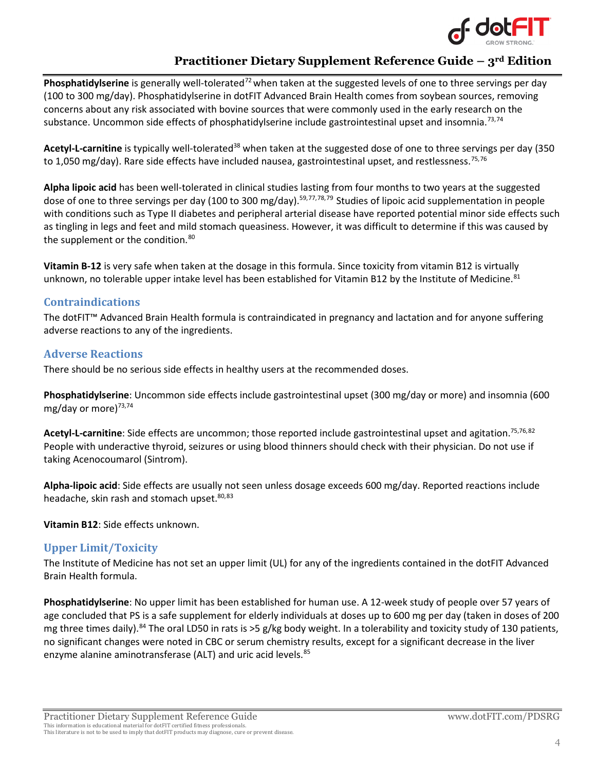<span id="page-3-3"></span><span id="page-3-2"></span><span id="page-3-1"></span><span id="page-3-0"></span>

Phosphatidylserine is generally well-tolerated<sup>[72](#page-8-1)</sup> when taken at the suggested levels of one to three servings per day (100 to 300 mg/day). Phosphatidylserine in dotFIT Advanced Brain Health comes from soybean sources, removing concerns about any risk associated with bovine sources that were commonly used in the early research on the substance. Uncommon side effects of phosphatidylserine include gastrointestinal upset and insomnia.<sup>[73,](#page-8-2)[74](#page-8-3)</sup>

Acetyl-L-carnitine is typically well-tolerated<sup>38</sup> when taken at the suggested dose of one to three servings per day (350 to 1,050 mg/day). Rare side effects have included nausea, gastrointestinal upset, and restlessness.<sup>[75](#page-8-4),[76](#page-8-5)</sup>

**Alpha lipoic acid** has been well-tolerated in clinical studies lasting from four months to two years at the suggested dose of one to three servings per day (100 to 300 mg/day).<sup>59,[77](#page-8-6),[78](#page-8-7),[79](#page-8-8)</sup> Studies of lipoic acid supplementation in people with conditions such as Type II diabetes and peripheral arterial disease have reported potential minor side effects such as tingling in legs and feet and mild stomach queasiness. However, it was difficult to determine if this was caused by the supplement or the condition.<sup>[80](#page-8-9)</sup>

<span id="page-3-4"></span>**Vitamin B-12** is very safe when taken at the dosage in this formula. Since toxicity from vitamin B12 is virtually unknown, no tolerable upper intake level has been established for Vitamin B12 by the Institute of Medicine.<sup>[81](#page-8-10)</sup>

### **Contraindications**

The dotFIT™ Advanced Brain Health formula is contraindicated in pregnancy and lactation and for anyone suffering adverse reactions to any of the ingredients.

### **Adverse Reactions**

There should be no serious side effects in healthy users at the recommended doses.

**Phosphatidylserine**: Uncommon side effects include gastrointestinal upset (300 mg/day or more) and insomnia (600 mg/day or more)<sup>73,[74](#page-3-1)</sup>

**Acetyl-L-carnitine**: Side effects are uncommon; those reported include gastrointestinal upset and agitation. [75,](#page-3-2)[76,](#page-3-3)[82](#page-8-11) People with underactive thyroid, seizures or using blood thinners should check with their physician. Do not use if taking Acenocoumarol (Sintrom).

**Alpha-lipoic acid**: Side effects are usually not seen unless dosage exceeds 600 mg/day. Reported reactions include headache, skin rash and stomach upset.<sup>80,[83](#page-8-12)</sup>

### **Vitamin B12**: Side effects unknown.

### **Upper Limit/Toxicity**

The Institute of Medicine has not set an upper limit (UL) for any of the ingredients contained in the dotFIT Advanced Brain Health formula.

**Phosphatidylserine**: No upper limit has been established for human use. A 12-week study of people over 57 years of age concluded that PS is a safe supplement for elderly individuals at doses up to 600 mg per day (taken in doses of 200 mg three times daily).<sup>[84](#page-8-13)</sup> The oral LD50 in rats is >5 g/kg body weight. In a tolerability and toxicity study of 130 patients, no significant changes were noted in CBC or serum chemistry results, except for a significant decrease in the liver enzyme alanine aminotransferase (ALT) and uric acid levels.<sup>[85](#page-8-14)</sup>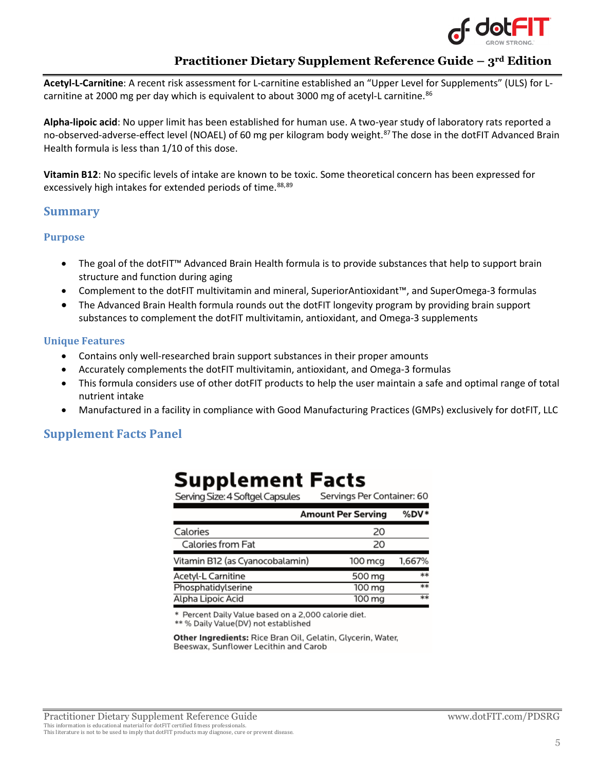

**Acetyl-L-Carnitine**: A recent risk assessment for L-carnitine established an "Upper Level for Supplements" (ULS) for Lcarnitine at 2000 mg per day which is equivalent to about 3000 mg of acetyl-L carnitine. $86$ 

**Alpha-lipoic acid**: No upper limit has been established for human use. A two-year study of laboratory rats reported a no-observed-adverse-effect level (NOAEL) of 60 mg per kilogram body weight.<sup>[87](#page-8-16)</sup> The dose in the dotFIT Advanced Brain Health formula is less than 1/10 of this dose.

**Vitamin B12**: No specific levels of intake are known to be toxic. Some theoretical concern has been expressed for excessively high intakes for extended periods of time.<sup>[88,](#page-8-17)[89](#page-8-18)</sup>

### **Summary**

#### **Purpose**

- The goal of the dotFIT™ Advanced Brain Health formula is to provide substances that help to support brain structure and function during aging
- Complement to the dotFIT multivitamin and mineral, SuperiorAntioxidant™, and SuperOmega-3 formulas
- The Advanced Brain Health formula rounds out the dotFIT longevity program by providing brain support substances to complement the dotFIT multivitamin, antioxidant, and Omega-3 supplements

#### **Unique Features**

- Contains only well-researched brain support substances in their proper amounts
- Accurately complements the dotFIT multivitamin, antioxidant, and Omega-3 formulas
- This formula considers use of other dotFIT products to help the user maintain a safe and optimal range of total nutrient intake
- Manufactured in a facility in compliance with Good Manufacturing Practices (GMPs) exclusively for dotFIT, LLC

er: 60

**SDV\*** 

### **Supplement Facts Panel**

| <b>Supplement Facts</b>          |                           |
|----------------------------------|---------------------------|
| Serving Size: 4 Softgel Capsules | Servings Per Contain      |
|                                  | <b>Amount Per Serving</b> |
| Calories                         | 20                        |
| Caloriac from Eat                | חכ                        |

| Calories from Fat               | 20                   |        |
|---------------------------------|----------------------|--------|
| Vitamin B12 (as Cyanocobalamin) | $100 \,\mathrm{mca}$ | 1.667% |
| Acetyl-L Carnitine              | 500 mg               | $***$  |
| Phosphatidylserine              | 100 ma               | **     |
| Alpha Lipoic Acid               | 100 mg               | $**$   |

Percent Daily Value based on a 2,000 calorie diet.

\*\* % Daily Value(DV) not established

Other Ingredients: Rice Bran Oil, Gelatin, Glycerin, Water, Beeswax, Sunflower Lecithin and Carob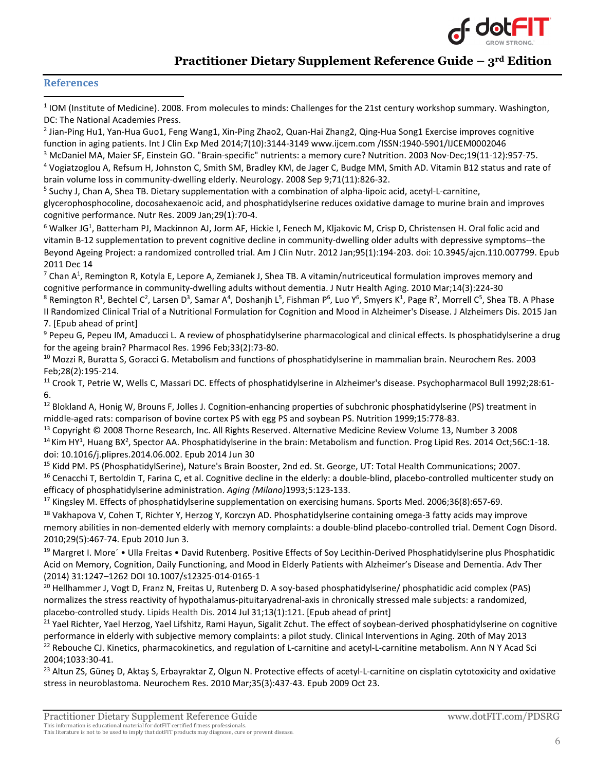

#### **References**

<span id="page-5-0"></span> $11$  IOM (Institute of Medicine). 2008. From molecules to minds: Challenges for the 21st century workshop summary. Washington, DC: The National Academies Press.

<span id="page-5-1"></span><sup>2</sup> Jian-Ping Hu1, Yan-Hua Guo1, Feng Wang1, Xin-Ping Zhao2, Quan-Hai Zhang2, Qing-Hua Song1 Exercise improves cognitive function in aging patients. Int J Clin Exp Med 2014;7(10):3144-3149 www.ijcem.com /ISSN:1940-5901/IJCEM0002046

<span id="page-5-2"></span><sup>3</sup> McDaniel MA, Maier SF, Einstein GO. "Brain-specific" nutrients: a memory cure? Nutrition. 2003 Nov-Dec;19(11-12):957-75.

<span id="page-5-3"></span><sup>4</sup> Vogiatzoglou A, Refsum H, Johnston C, Smith SM, Bradley KM, de Jager C, Budge MM, Smith AD. Vitamin B12 status and rate of brain volume loss in community-dwelling elderly. Neurology. 2008 Sep 9;71(11):826-32.

<span id="page-5-4"></span><sup>5</sup> Suchy J, Chan A, Shea TB. Dietary supplementation with a combination of alpha-lipoic acid, acetyl-L-carnitine,

[glycerophosphocoline, docosahexaenoic acid, and phosphatidylserine reduces oxidative damage to murine brain and improves](http://www.ncbi.nlm.nih.gov/pubmed/19185780)  cognitive [performance.](http://www.ncbi.nlm.nih.gov/pubmed/19185780) Nutr Res. 2009 Jan;29(1):70-4.

<span id="page-5-5"></span> $^6$  Walker JG<sup>1</sup>, [Batterham PJ,](http://www.ncbi.nlm.nih.gov/pubmed?term=Batterham%20PJ%5BAuthor%5D&cauthor=true&cauthor_uid=22170358) [Mackinnon AJ,](http://www.ncbi.nlm.nih.gov/pubmed?term=Mackinnon%20AJ%5BAuthor%5D&cauthor=true&cauthor_uid=22170358) [Jorm AF,](http://www.ncbi.nlm.nih.gov/pubmed?term=Jorm%20AF%5BAuthor%5D&cauthor=true&cauthor_uid=22170358) [Hickie I,](http://www.ncbi.nlm.nih.gov/pubmed?term=Hickie%20I%5BAuthor%5D&cauthor=true&cauthor_uid=22170358) [Fenech M,](http://www.ncbi.nlm.nih.gov/pubmed?term=Fenech%20M%5BAuthor%5D&cauthor=true&cauthor_uid=22170358) [Kljakovic M,](http://www.ncbi.nlm.nih.gov/pubmed?term=Kljakovic%20M%5BAuthor%5D&cauthor=true&cauthor_uid=22170358) [Crisp D,](http://www.ncbi.nlm.nih.gov/pubmed?term=Crisp%20D%5BAuthor%5D&cauthor=true&cauthor_uid=22170358) [Christensen H.](http://www.ncbi.nlm.nih.gov/pubmed?term=Christensen%20H%5BAuthor%5D&cauthor=true&cauthor_uid=22170358) Oral folic acid and vitamin B-12 supplementation to prevent cognitive decline in community-dwelling older adults with depressive symptoms--the Beyond Ageing Project: a randomized controlled trial[. Am J Clin Nutr.](http://www.ncbi.nlm.nih.gov/pubmed/22170358) 2012 Jan;95(1):194-203. doi: 10.3945/ajcn.110.007799. Epub 2011 Dec 14

<span id="page-5-6"></span> $^7$  Chan A<sup>1</sup>, [Remington R,](http://www.ncbi.nlm.nih.gov/pubmed?term=Remington%20R%5BAuthor%5D&cauthor=true&cauthor_uid=20191258) [Kotyla E,](http://www.ncbi.nlm.nih.gov/pubmed?term=Kotyla%20E%5BAuthor%5D&cauthor=true&cauthor_uid=20191258) [Lepore A,](http://www.ncbi.nlm.nih.gov/pubmed?term=Lepore%20A%5BAuthor%5D&cauthor=true&cauthor_uid=20191258) [Zemianek J,](http://www.ncbi.nlm.nih.gov/pubmed?term=Zemianek%20J%5BAuthor%5D&cauthor=true&cauthor_uid=20191258) [Shea TB.](http://www.ncbi.nlm.nih.gov/pubmed?term=Shea%20TB%5BAuthor%5D&cauthor=true&cauthor_uid=20191258) A vitamin/nutriceutical formulation improves memory and cognitive performance in community-dwelling adults without dementia[. J Nutr Health Aging.](http://www.ncbi.nlm.nih.gov/pubmed/20191258) 2010 Mar;14(3):224-30

<span id="page-5-7"></span><sup>8</sup> Remington R<sup>1</sup>, Bechtel C<sup>2</sup>, Larsen D<sup>3</sup>, Samar A<sup>4</sup>, Doshanjh L<sup>5</sup>, Fishman P<sup>6</sup>, Luo Y<sup>6</sup>, Smyers K<sup>1</sup>, Page R<sup>2</sup>, Morrell C<sup>5</sup>[, Shea TB.](http://www.ncbi.nlm.nih.gov/pubmed/?term=Shea%20TB%5BAuthor%5D&cauthor=true&cauthor_uid=25589719) A Phase II Randomized Clinical Trial of a Nutritional Formulation for Cognition and Mood in Alzheimer's Disease[. J Alzheimers Dis.](http://www.ncbi.nlm.nih.gov/pubmed/25589719) 2015 Jan 7. [Epub ahead of print]

<span id="page-5-8"></span><sup>9</sup> Pepeu G, Pepeu IM, Amaducci L. A review of phosphatidylserine pharmacological and clinical effects. Is phosphatidylserine a drug for the ageing brain? Pharmacol Res. 1996 Feb;33(2):73-80.

<span id="page-5-9"></span> $10$  Mozzi R, Buratta S, Goracci G. Metabolism and functions of phosphatidylserine in mammalian brain. Neurochem Res. 2003 Feb;28(2):195-214.

<span id="page-5-10"></span><sup>11</sup> Crook T, Petrie W, Wells C, Massari DC. Effects of phosphatidylserine in Alzheimer's disease. Psychopharmacol Bull 1992;28:61-6.

<span id="page-5-11"></span> $12$  Blokland A, Honig W, Brouns F, Jolles J. Cognition-enhancing properties of subchronic phosphatidylserine (PS) treatment in middle-aged rats: comparison of bovine cortex PS with egg PS and soybean PS. Nutrition 1999;15:778-83.

<span id="page-5-13"></span><span id="page-5-12"></span><sup>13</sup> Copyright © 2008 Thorne Research, Inc. All Rights Reserved. Alternative Medicine Review Volume 13, Number 3 2008 <sup>14</sup> Kim HY<sup>1</sup>, Huang BX<sup>2</sup>, [Spector AA.](http://www.ncbi.nlm.nih.gov/pubmed/?term=Spector%20AA%5BAuthor%5D&cauthor=true&cauthor_uid=24992464) Phosphatidylserine in the brain: Metabolism and function[. Prog Lipid Res.](http://www.ncbi.nlm.nih.gov/pubmed/24992464) 2014 Oct;56C:1-18. doi: 10.1016/j.plipres.2014.06.002. Epub 2014 Jun 30

<span id="page-5-15"></span><span id="page-5-14"></span><sup>15</sup> Kidd PM. PS (PhosphatidylSerine), Nature's Brain Booster, 2nd ed. St. George, UT: Total Health Communications; 2007. <sup>16</sup> Cenacchi T, Bertoldin T, Farina C, et al. Cognitive decline in the elderly: a double-blind, placebo-controlled multicenter study on efficacy of phosphatidylserine administration. *Aging (Milano)*1993;5:123-133.

<span id="page-5-16"></span><sup>17</sup> Kingsley M. Effects of phosphatidylserine supplementation on exercising humans. Sports Med. 2006;36(8):657-69.

<span id="page-5-17"></span> $18$  Vakhapova V, Cohen T, Richter Y, Herzog Y, Korczyn AD. Phosphatidylserine containing omega-3 fatty acids may improve memory abilities in non-demented elderly with memory complaints: a double-blind placebo-controlled trial. Dement Cogn Disord. 2010;29(5):467-74. Epub 2010 Jun 3.

<span id="page-5-18"></span><sup>19</sup> Margret I. More<sup> $\cdot$ </sup> Ulla Freitas • David Rutenberg. Positive Effects of Soy Lecithin-Derived Phosphatidylserine plus Phosphatidic Acid on Memory, Cognition, Daily Functioning, and Mood in Elderly Patients with Alzheimer's Disease and Dementia. Adv Ther (2014) 31:1247–1262 DOI 10.1007/s12325-014-0165-1

<span id="page-5-19"></span><sup>20</sup> Hellhammer J, Vogt D, Franz N, Freitas U, Rutenberg D. A soy-based phosphatidylserine/ phosphatidic acid complex (PAS) normalizes the stress reactivity of hypothalamus-pituitaryadrenal-axis in chronically stressed male subjects: a randomized, placebo-controlled study. Lipids Health Dis. 2014 Jul 31;13(1):121. [Epub ahead of print]

<span id="page-5-20"></span><sup>21</sup> Yael Richter, Yael Herzog, Yael Lifshitz, Rami Hayun, Sigalit Zchut. The effect of soybean-derived phosphatidylserine on cognitive performance in elderly with subjective memory complaints: a pilot study. Clinical Interventions in Aging. 20th of May 2013  $22$  Rebouche CJ. Kinetics, pharmacokinetics, and regulation of L-carnitine and acetyl-L-carnitine metabolism. Ann N Y Acad Sci

<span id="page-5-21"></span>2004;1033:30-41.

<span id="page-5-22"></span><sup>23</sup> Altun ZS, Güneş D, Aktaş S, Erbayraktar Z, Olgun N. Protective effects of acetyl-L-carnitine on cisplatin cytotoxicity and oxidative stress in neuroblastoma. Neurochem Res. 2010 Mar;35(3):437-43. Epub 2009 Oct 23.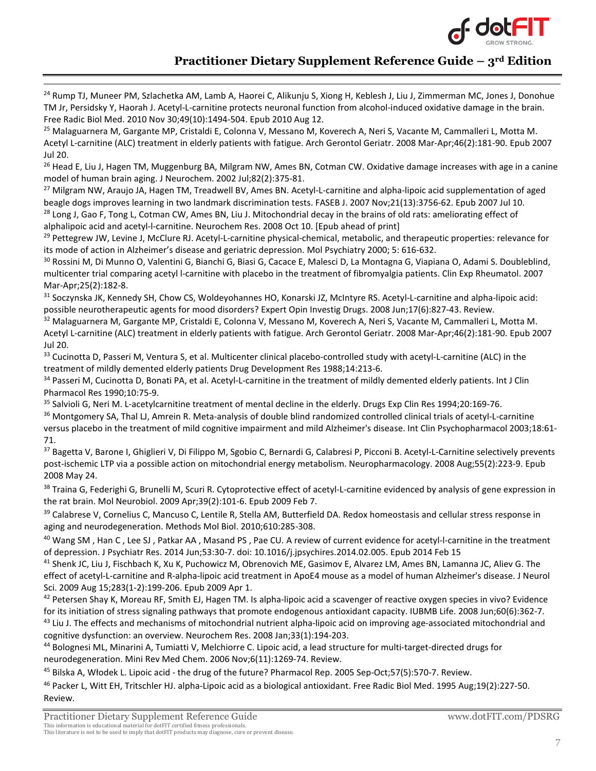

<span id="page-6-0"></span><sup>24</sup> Rump TJ, Muneer PM, Szlachetka AM, Lamb A, Haorei C, Alikunju S, Xiong H, Keblesh J, Liu J, Zimmerman MC, Jones J, Donohue TM Jr, Persidsky Y, Haorah J. Acetyl-L-carnitine protects neuronal function from alcohol-induced oxidative damage in the brain. Free Radic Biol Med. 2010 Nov 30;49(10):1494-504. Epub 2010 Aug 12.

<span id="page-6-1"></span><sup>25</sup> Malaguarnera M, Gargante MP, Cristaldi E, Colonna V, Messano M, Koverech A, Neri S, Vacante M, Cammalleri L, Motta M. Acetyl L-carnitine (ALC) treatment in elderly patients with fatigue. Arch Gerontol Geriatr. 2008 Mar-Apr;46(2):181-90. Epub 2007 Jul 20.

<span id="page-6-2"></span><sup>26</sup> Head E, Liu J, Hagen TM, Muggenburg BA, Milgram NW, Ames BN, Cotman CW. Oxidative damage increases with age in a canine model of human brain aging. J Neurochem. 2002 Jul;82(2):375-81.

<span id="page-6-3"></span><sup>27</sup> Milgram NW, Araujo JA, Hagen TM, Treadwell BV, Ames BN. Acetyl-L-carnitine and alpha-lipoic acid supplementation of aged beagle dogs improves learning in two landmark discrimination tests. FASEB J. 2007 Nov;21(13):3756-62. Epub 2007 Jul 10.  $^{28}$  Long J, Gao F, Tong L, Cotman CW, Ames BN, Liu J. Mitochondrial decay in the brains of old rats: ameliorating effect of

<span id="page-6-4"></span>alphalipoic acid and acetyl-l-carnitine. Neurochem Res. 2008 Oct 10. [Epub ahead of print]

<span id="page-6-5"></span><sup>29</sup> Pettegrew JW, Levine J, McClure RJ. Acetyl-L-carnitine physical-chemical, metabolic, and therapeutic properties: relevance for its mode of action in Alzheimer's disease and geriatric depression. Mol Psychiatry 2000; 5: 616-632.

<span id="page-6-6"></span><sup>30</sup> Rossini M, Di Munno O, Valentini G, Bianchi G, Biasi G, Cacace E, Malesci D, La Montagna G, Viapiana O, Adami S. Doubleblind, multicenter trial comparing acetyl l-carnitine with placebo in the treatment of fibromyalgia patients. Clin Exp Rheumatol. 2007 Mar-Apr;25(2):182-8.

<span id="page-6-7"></span><sup>31</sup> Soczynska JK, Kennedy SH, Chow CS, Woldeyohannes HO, Konarski JZ, McIntyre RS. Acetyl-L-carnitine and alpha-lipoic acid: possible neurotherapeutic agents for mood disorders? Expert Opin Investig Drugs. 2008 Jun;17(6):827-43. Review.

<span id="page-6-8"></span> $32$  Malaguarnera M, Gargante MP, Cristaldi E, Colonna V, Messano M, Koverech A, Neri S, Vacante M, Cammalleri L, Motta M. Acetyl L-carnitine (ALC) treatment in elderly patients with fatigue. Arch Gerontol Geriatr. 2008 Mar-Apr;46(2):181-90. Epub 2007 Jul 20.

<span id="page-6-9"></span>33 Cucinotta D, Passeri M, Ventura S, et al. Multicenter clinical placebo-controlled study with acetyl-L-carnitine (ALC) in the treatment of mildly demented elderly patients Drug Development Res 1988;14:213-6.

<span id="page-6-10"></span><sup>34</sup> Passeri M, Cucinotta D, Bonati PA, et al. Acetyl-L-carnitine in the treatment of mildly demented elderly patients. Int J Clin Pharmacol Res 1990;10:75-9.

<span id="page-6-11"></span><sup>35</sup> Salvioli G, Neri M. L-acetylcarnitine treatment of mental decline in the elderly. Drugs Exp Clin Res 1994;20:169-76.

<span id="page-6-12"></span><sup>36</sup> Montgomery SA, Thal LJ, Amrein R. Meta-analysis of double blind randomized controlled clinical trials of acetyl-L-carnitine versus placebo in the treatment of mild cognitive impairment and mild Alzheimer's disease. Int Clin Psychopharmacol 2003;18:61- 71.

<span id="page-6-13"></span><sup>37</sup> Bagetta V, Barone I, Ghiglieri V, Di Filippo M, Sgobio C, Bernardi G, Calabresi P, Picconi B. Acetyl-L-Carnitine selectively prevents post-ischemic LTP via a possible action on mitochondrial energy metabolism. Neuropharmacology. 2008 Aug;55(2):223-9. Epub 2008 May 24.

<span id="page-6-14"></span><sup>38</sup> Traina G, Federighi G, Brunelli M, Scuri R. Cytoprotective effect of acetyl-L-carnitine evidenced by analysis of gene expression in [the rat brain.](http://www.ncbi.nlm.nih.gov/pubmed/19199082) Mol Neurobiol. 2009 Apr;39(2):101-6. Epub 2009 Feb 7.

<span id="page-6-15"></span><sup>39</sup> Calabrese V, Cornelius C, Mancuso C, Lentile R, Stella AM, Butterfield DA. Redox homeostasis and cellular stress response in [aging and neurodegeneration.](http://www.ncbi.nlm.nih.gov/pubmed/20013185) Methods Mol Biol. 2010;610:285-308.

<span id="page-6-16"></span><sup>40</sup> Wang SM, Han C, Lee SJ, Patkar AA, Masand PS, Pae CU. A review of current evidence for acetyl-l-carnitine in the treatment of depression. J Psychiatr Res. 2014 Jun;53:30-7. doi: 10.1016/j.jpsychires.2014.02.005. Epub 2014 Feb 15

<span id="page-6-17"></span><sup>41</sup> Shenk JC, Liu J, Fischbach K, Xu K, Puchowicz M, Obrenovich ME, Gasimov E, Alvarez LM, Ames BN, Lamanna JC, Aliev G. The [effect of acetyl-L-carnitine and R-alpha-lipoic acid treatment in ApoE4 mouse as a model of human Alzheimer's disease.](http://www.ncbi.nlm.nih.gov/pubmed/19342064) J Neurol Sci. 2009 Aug 15;283(1-2):199-206. Epub 2009 Apr 1.

<span id="page-6-19"></span><span id="page-6-18"></span> $42$  Petersen Shay K, Moreau RF, Smith EJ, Hagen TM. Is alpha-lipoic acid a scavenger of reactive oxygen species in vivo? Evidence for its initiation of stress signaling pathways that promote endogenous antioxidant capacity. IUBMB Life. 2008 Jun;60(6):362-7. <sup>43</sup> Liu J. The effects and mechanisms of mitochondrial nutrient alpha-lipoic acid on improving age-associated mitochondrial and cognitive dysfunction: an overview. Neurochem Res. 2008 Jan;33(1):194-203.

<span id="page-6-20"></span>44 Bolognesi ML, Minarini A, Tumiatti V, Melchiorre C. Lipoic acid, a lead structure for multi-target-directed drugs for neurodegeneration. Mini Rev Med Chem. 2006 Nov;6(11):1269-74. Review.

<span id="page-6-21"></span><sup>45</sup> Bilska A, Włodek L. Lipoic acid - the drug of the future? Pharmacol Rep. 2005 Sep-Oct;57(5):570-7. Review.

<span id="page-6-22"></span><sup>46</sup> Packer L, Witt EH, Tritschler HJ. alpha-Lipoic acid as a biological antioxidant. Free Radic Biol Med. 1995 Aug;19(2):227-50. Review.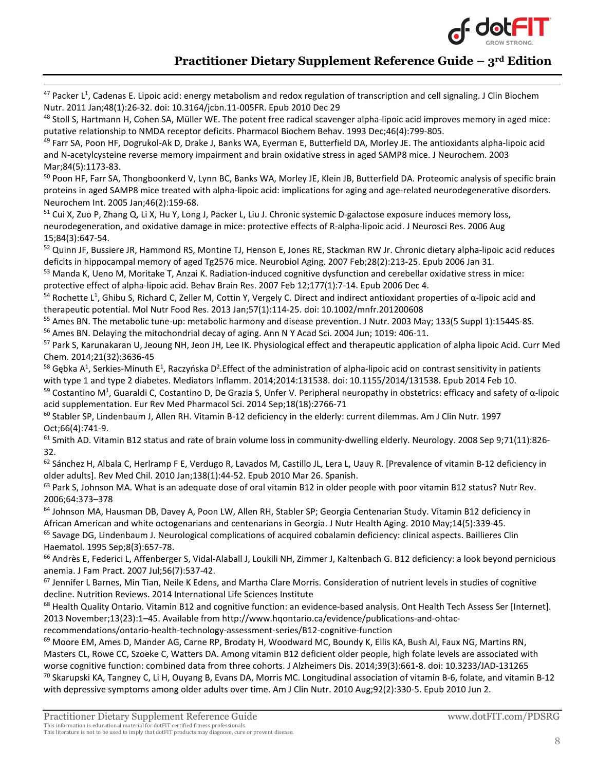

<span id="page-7-0"></span> $47$  Packer L<sup>1</sup>[, Cadenas E.](http://www.ncbi.nlm.nih.gov/pubmed?term=Cadenas%20E%5BAuthor%5D&cauthor=true&cauthor_uid=21297908) Lipoic acid: energy metabolism and redox regulation of transcription and cell signaling. J Clin Biochem [Nutr.](http://www.ncbi.nlm.nih.gov/pubmed/21297908) 2011 Jan;48(1):26-32. doi: 10.3164/jcbn.11-005FR. Epub 2010 Dec 29

<span id="page-7-1"></span><sup>48</sup> Stoll S, Hartmann H, Cohen SA, Müller WE. The potent free radical scavenger alpha-lipoic acid improves memory in aged mice: putative relationship to NMDA receptor deficits. Pharmacol Biochem Behav. 1993 Dec;46(4):799-805.

<span id="page-7-2"></span><sup>49</sup> Farr SA, Poon HF, Dogrukol-Ak D, Drake J, Banks WA, Eyerman E, Butterfield DA, Morley JE. The antioxidants alpha-lipoic acid and N-acetylcysteine reverse memory impairment and brain oxidative stress in aged SAMP8 mice. J Neurochem. 2003 Mar;84(5):1173-83.

<span id="page-7-3"></span><sup>50</sup> Poon HF, Farr SA, Thongboonkerd V, Lynn BC, Banks WA, Morley JE, Klein JB, Butterfield DA. Proteomic analysis of specific brain proteins in aged SAMP8 mice treated with alpha-lipoic acid: implications for aging and age-related neurodegenerative disorders. Neurochem Int. 2005 Jan;46(2):159-68.

<span id="page-7-4"></span><sup>51</sup> Cui X, Zuo P, Zhang Q, Li X, Hu Y, Long J, Packer L, Liu J. Chronic systemic D-galactose exposure induces memory loss, neurodegeneration, and oxidative damage in mice: protective effects of R-alpha-lipoic acid. J Neurosci Res. 2006 Aug 15;84(3):647-54.

<span id="page-7-5"></span><sup>52</sup> Quinn JF, Bussiere JR, Hammond RS, Montine TJ, Henson E, Jones RE, Stackman RW Jr. Chronic dietary alpha-lipoic acid reduces deficits in hippocampal memory of aged Tg2576 mice. Neurobiol Aging. 2007 Feb;28(2):213-25. Epub 2006 Jan 31.

<span id="page-7-6"></span>53 Manda K, Ueno M, Moritake T, Anzai K. Radiation-induced cognitive dysfunction and cerebellar oxidative stress in mice: protective effect of alpha-lipoic acid. Behav Brain Res. 2007 Feb 12;177(1):7-14. Epub 2006 Dec 4.

<span id="page-7-7"></span><sup>54</sup> Rochette L<sup>1</sup>, [Ghibu S,](http://www.ncbi.nlm.nih.gov/pubmed?term=Ghibu%20S%5BAuthor%5D&cauthor=true&cauthor_uid=23293044) [Richard C,](http://www.ncbi.nlm.nih.gov/pubmed?term=Richard%20C%5BAuthor%5D&cauthor=true&cauthor_uid=23293044) [Zeller M,](http://www.ncbi.nlm.nih.gov/pubmed?term=Zeller%20M%5BAuthor%5D&cauthor=true&cauthor_uid=23293044) [Cottin Y,](http://www.ncbi.nlm.nih.gov/pubmed?term=Cottin%20Y%5BAuthor%5D&cauthor=true&cauthor_uid=23293044) [Vergely C.](http://www.ncbi.nlm.nih.gov/pubmed?term=Vergely%20C%5BAuthor%5D&cauthor=true&cauthor_uid=23293044) Direct and indirect antioxidant properties of α-lipoic acid and therapeutic potential. [Mol Nutr Food Res.](http://www.ncbi.nlm.nih.gov/pubmed/?term=Direct+and+indirect+antioxidant+properties+of+%CE%B1-lipoic+acid+and+therapeutic+potential) 2013 Jan;57(1):114-25. doi: 10.1002/mnfr.201200608

<span id="page-7-9"></span><span id="page-7-8"></span><sup>55</sup> Ames BN. The metabolic tune-up: metabolic harmony and disease prevention. J Nutr. 2003 May; 133(5 Suppl 1):1544S-8S. <sup>56</sup> Ames BN. Delaying the mitochondrial decay of aging. Ann N Y Acad Sci. 2004 Jun; 1019: 406-11.

<span id="page-7-10"></span><sup>57</sup> Park S, Karunakaran U, Jeoung NH, Jeon JH, Lee IK. Physiological effect and therapeutic application of alpha lipoic Acid. Curr Med Chem. 2014;21(32):3636-45

<span id="page-7-11"></span><sup>58</sup> [Gębka A](http://www.ncbi.nlm.nih.gov/pubmed?term=G%C4%99bka%20A%5BAuthor%5D&cauthor=true&cauthor_uid=24665163)<sup>1</sup>, Serkies-Minuth E<sup>1</sup>, [Raczyńska D](http://www.ncbi.nlm.nih.gov/pubmed?term=Raczy%C5%84ska%20D%5BAuthor%5D&cauthor=true&cauthor_uid=24665163)<sup>2</sup>. Effect of the administration of alpha-lipoic acid on contrast sensitivity in patients with type 1 and type 2 diabetes. [Mediators Inflamm.](http://www.ncbi.nlm.nih.gov/pubmed/24665163) 2014;2014:131538. doi: 10.1155/2014/131538. Epub 2014 Feb 10.

<span id="page-7-12"></span><sup>59</sup> Costantino M<sup>1</sup>, [Guaraldi C,](http://www.ncbi.nlm.nih.gov/pubmed?term=Guaraldi%20C%5BAuthor%5D&cauthor=true&cauthor_uid=25317815) [Costantino D,](http://www.ncbi.nlm.nih.gov/pubmed?term=Costantino%20D%5BAuthor%5D&cauthor=true&cauthor_uid=25317815) [De Grazia S,](http://www.ncbi.nlm.nih.gov/pubmed?term=De%20Grazia%20S%5BAuthor%5D&cauthor=true&cauthor_uid=25317815) [Unfer V](http://www.ncbi.nlm.nih.gov/pubmed?term=Unfer%20V%5BAuthor%5D&cauthor=true&cauthor_uid=25317815). Peripheral neuropathy in obstetrics: efficacy and safety of α-lipoic acid supplementation. [Eur Rev Med Pharmacol Sci.](http://www.ncbi.nlm.nih.gov/pubmed/25317815) 2014 Sep;18(18):2766-71

<span id="page-7-13"></span> $60$  Stabler SP, Lindenbaum J, Allen RH. Vitamin B-12 deficiency in the elderly: current dilemmas. Am J Clin Nutr. 1997 Oct;66(4):741-9.

<span id="page-7-14"></span> $61$  Smith AD. Vitamin B12 status and rate of brain volume loss in community-dwelling elderly. Neurology. 2008 Sep 9;71(11):826-32.

<span id="page-7-15"></span>62 Sánchez H, Albala C, Herlramp F E, Verdugo R, Lavados M, Castillo JL, Lera L, Uauy R. [Prevalence of vitamin B-12 deficiency in older adults]. Rev Med Chil. 2010 Jan;138(1):44-52. Epub 2010 Mar 26. Spanish.

<span id="page-7-16"></span> $63$  Park S, Johnson MA. What is an adequate dose of oral vitamin B12 in older people with poor vitamin B12 status? Nutr Rev. 2006;64:373–378

<span id="page-7-17"></span><sup>64</sup> Johnson MA, Hausman DB, Davey A, Poon LW, Allen RH, Stabler SP; Georgia Centenarian Study. Vitamin B12 deficiency in African American and white octogenarians and centenarians in Georgia. J Nutr Health Aging. 2010 May;14(5):339-45.

<span id="page-7-18"></span> $<sup>65</sup>$  Savage DG, Lindenbaum J. Neurological complications of acquired cobalamin deficiency: clinical aspects. Baillieres Clin</sup> Haematol. 1995 Sep;8(3):657-78.

<span id="page-7-19"></span><sup>66</sup> Andrès E, Federici L, Affenberger S, Vidal-Alaball J, Loukili NH, Zimmer J, Kaltenbach G. B12 deficiency: a look beyond pernicious anemia. J Fam Pract. 2007 Jul;56(7):537-42.

<span id="page-7-20"></span> $67$  Jennifer L Barnes, Min Tian, Neile K Edens, and Martha Clare Morris. Consideration of nutrient levels in studies of cognitive decline. Nutrition Reviews. 2014 International Life Sciences Institute

<span id="page-7-21"></span><sup>68</sup> Health Quality Ontario. Vitamin B12 and cognitive function: an evidence-based analysis. Ont Health Tech Assess Ser [Internet]. 2013 November;13(23):1–45. Available from http://www.hqontario.ca/evidence/publications-and-ohtac-

recommendations/ontario-health-technology-assessment-series/B12-cognitive-function

<span id="page-7-22"></span><sup>69</sup> Moore EM, Ames D, Mander AG, Carne RP, Brodaty H, Woodward MC, Boundy K, Ellis KA, Bush Al, Faux NG, Martins RN, Masters CL, Rowe CC, Szoeke C, Watters DA. Among vitamin B12 deficient older people, high folate levels are associated with worse cognitive function: combined data from three cohorts. J Alzheimers Dis. 2014;39(3):661-8. doi: 10.3233/JAD-131265

<span id="page-7-23"></span> $^{70}$  Skarupski KA, Tangney C, Li H, Ouyang B, Evans DA, Morris MC. Longitudinal association of vitamin B-6, folate, and vitamin B-12 with depressive symptoms among older adults over time. Am J Clin Nutr. 2010 Aug;92(2):330-5. Epub 2010 Jun 2.